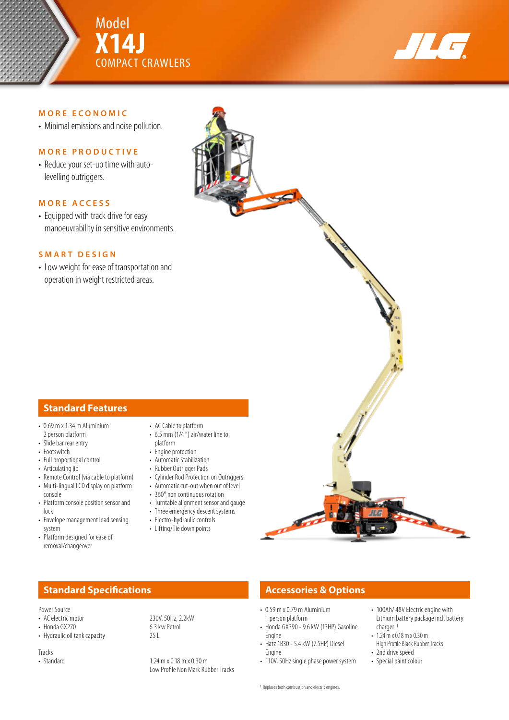



### **MORE ECONOMIC**

• Minimal emissions and noise pollution.

### **MORE PRODUCTIVE**

• Reduce your set-up time with autolevelling outriggers.

### **MORE ACCESS**

• Equipped with track drive for easy manoeuvrability in sensitive environments.

### **SMART DESIGN**

• Low weight for ease of transportation and operation in weight restricted areas.



- $\cdot$  0.69 m x 1.34 m Aluminium 2 person platform
- Slide bar rear entry
- Footswitch
- Full proportional control
- Articulating jib
- Remote Control (via cable to platform)
- Multi-lingual LCD display on platform console
- Platform console position sensor and lock
- Envelope management load sensing system
- Platform designed for ease of removal/changeover
- AC Cable to platform
- 6,5 mm (1/4 ") air/water line to platform
- Engine protection
- Automatic Stabilization
- Rubber Outrigger Pads
- Cylinder Rod Protection on Outriggers
- Automatic cut-out when out of level
- 360° non continuous rotation
- Turntable alignment sensor and gauge
- Three emergency descent systems
- Electro-hydraulic controls • Lifting/Tie down points
- 

## **Standard Specifications Accessories & Options**

Power Source

- AC electric motor<br>• Honda GX270<br>• Honda GX270<br>• 6.3 kw Petrol
- $\cdot$  Honda GX270
- Hydraulic oil tank capacity 25 L

Tracks<br>• Standard

# • 0.59 m x 0.79 m Aluminium

- 1 person platform • Honda GX390 - 9.6 kW (13HP) Gasoline Engine
- Hatz 1B30 5.4 kW (7.5HP) Diesel Engine
- 110V, 50Hz single phase power system
- 100Ah/ 48V Electric engine with Lithium battery package incl. battery charger 1
- 1.24 m x 0.18 m x 0.30 m High Profile Black Rubber Tracks
- 2nd drive speed
- Special paint colour

 $1.24 \text{ m} \times 0.18 \text{ m} \times 0.30 \text{ m}$ Low Profile Non Mark Rubber Tracks

- 
-